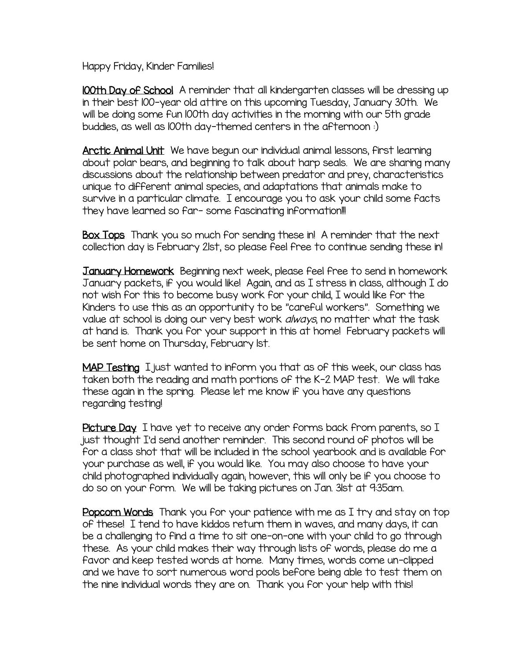Happy Friday, Kinder Families!

100th Day of School A reminder that all kindergarten classes will be dressing up in their best 100-year old attire on this upcoming Tuesday, January 30th. We will be doing some fun 100th day activities in the morning with our 5th grade buddies, as well as 100th day-themed centers in the afternoon :)

Arctic Animal Unit We have begun our individual animal lessons, first learning about polar bears, and beginning to talk about harp seals. We are sharing many discussions about the relationship between predator and prey, characteristics unique to different animal species, and adaptations that animals make to survive in a particular climate. I encourage you to ask your child some facts they have learned so far- some fascinating information!!!

Box Tops Thank you so much for sending these in! A reminder that the next collection day is February 21st, so please feel free to continue sending these in!

January Homework Beginning next week, please feel free to send in homework January packets, if you would like! Again, and as I stress in class, although I do not wish for this to become busy work for your child, I would like for the Kinders to use this as an opportunity to be "careful workers". Something we value at school is doing our very best work *always*, no matter what the task at hand is. Thank you for your support in this at home! February packets will be sent home on Thursday, February 1st.

MAP Testing I just wanted to inform you that as of this week, our class has taken both the reading and math portions of the K-2 MAP test. We will take these again in the spring. Please let me know if you have any questions regarding testing!

Picture Day I have yet to receive any order forms back from parents, so I just thought I'd send another reminder. This second round of photos will be for a class shot that will be included in the school yearbook and is available for your purchase as well, if you would like. You may also choose to have your child photographed individually again; however, this will only be if you choose to do so on your form. We will be taking pictures on Jan. 31st at 9:35am.

Popcorn Words Thank you for your patience with me as I try and stay on top of these! I tend to have kiddos return them in waves, and many days, it can be a challenging to find a time to sit one-on-one with your child to go through these. As your child makes their way through lists of words, please do me a favor and keep tested words at home. Many times, words come un-clipped and we have to sort numerous word pools before being able to test them on the nine individual words they are on. Thank you for your help with this!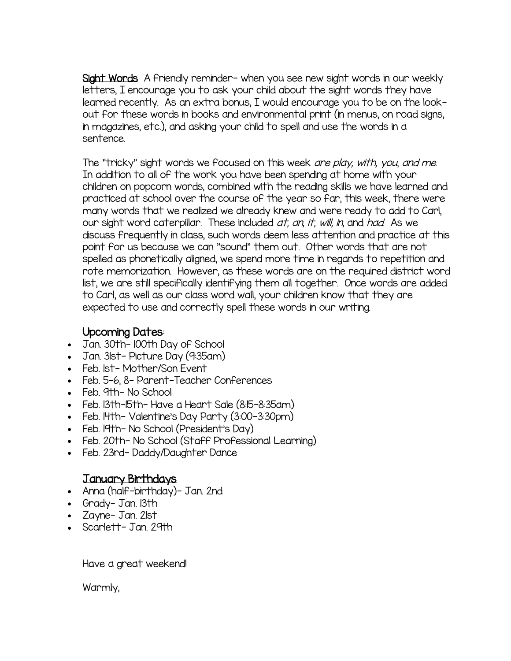Sight Words A friendly reminder- when you see new sight words in our weekly letters, I encourage you to ask your child about the sight words they have learned recently. As an extra bonus, I would encourage you to be on the lookout for these words in books and environmental print (in menus, on road signs, in magazines, etc.), and asking your child to spell and use the words in a sentence.

The "tricky" sight words we focused on this week are play, with, you, and me. In addition to all of the work you have been spending at home with your children on popcorn words, combined with the reading skills we have learned and practiced at school over the course of the year so far, this week, there were many words that we realized we already knew and were ready to add to Carl, our sight word caterpillar. These included *at, an, it, will, in,* and *had.* As we discuss frequently in class, such words deem less attention and practice at this point for us because we can "sound" them out. Other words that are not spelled as phonetically aligned, we spend more time in regards to repetition and rote memorization. However, as these words are on the required district word list, we are still specifically identifying them all together. Once words are added to Carl, as well as our class word wall, your children know that they are expected to use and correctly spell these words in our writing.

## Upcoming Dates:

- Jan. 30th- 100th Day of School
- Jan. 31st- Picture Day (9:35am)
- Feb. Ist-Mother/Son Event
- Feb. 5-6, 8- Parent-Teacher Conferences
- Feb. 9th- No School
- Feb. 13th-15th- Have a Heart Sale (8:15-8:35am)
- Feb. 14th- Valentine's Day Party (3:00–3:30pm)
- Feb. 19th- No School (President's Day)
- Feb. 20th- No School (Staff Professional Learning)
- Feb. 23rd-Daddy/Daughter Dance

## January Birthdays

- Anna (half-birthday)- Jan. 2nd
- Grady- Jan. 13th
- Zayne-Jan. 21st
- Scarlett- Jan. 29th

Have a great weekend!

Warmly,